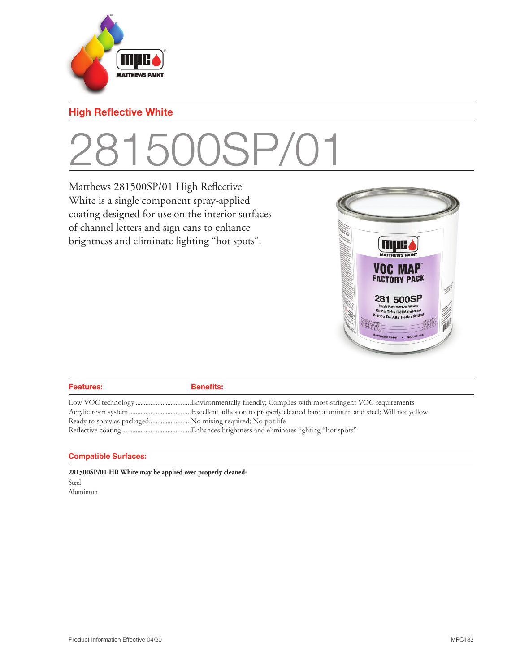

### **High Reflective White**

## 281500SP/0

Matthews 281500SP/01 High Reflective White is a single component spray-applied coating designed for use on the interior surfaces of channel letters and sign cans to enhance brightness and eliminate lighting "hot spots".



| <b>Features:</b> | <b>Benefits:</b> |
|------------------|------------------|
|                  |                  |
|                  |                  |
|                  |                  |
|                  |                  |

#### **Compatible Surfaces:**

**281500SP/01 HR White may be applied over properly cleaned:** Steel Aluminum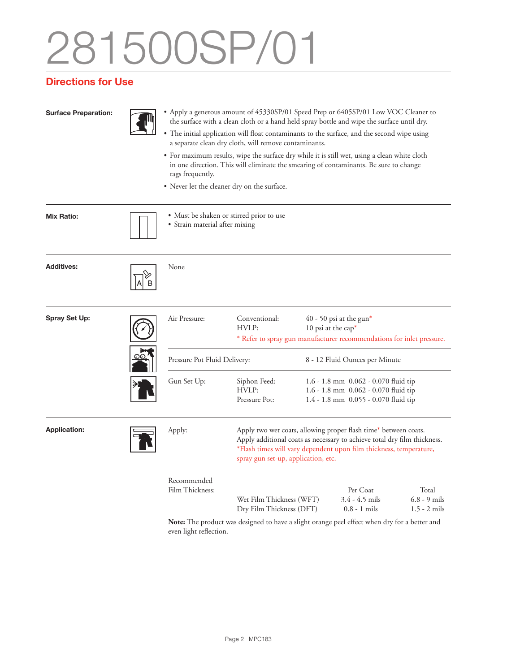# 281500SP/01

### **Directions for Use**

| <b>Surface Preparation:</b> |  | • Apply a generous amount of 45330SP/01 Speed Prep or 6405SP/01 Low VOC Cleaner to<br>the surface with a clean cloth or a hand held spray bottle and wipe the surface until dry.<br>• The initial application will float contaminants to the surface, and the second wipe using<br>a separate clean dry cloth, will remove contaminants.<br>• For maximum results, wipe the surface dry while it is still wet, using a clean white cloth<br>in one direction. This will eliminate the smearing of contaminants. Be sure to change<br>rags frequently.<br>• Never let the cleaner dry on the surface. |                                                                                                                                                                                                                                                          |                                |                                                                                                                          |                                           |  |
|-----------------------------|--|------------------------------------------------------------------------------------------------------------------------------------------------------------------------------------------------------------------------------------------------------------------------------------------------------------------------------------------------------------------------------------------------------------------------------------------------------------------------------------------------------------------------------------------------------------------------------------------------------|----------------------------------------------------------------------------------------------------------------------------------------------------------------------------------------------------------------------------------------------------------|--------------------------------|--------------------------------------------------------------------------------------------------------------------------|-------------------------------------------|--|
|                             |  |                                                                                                                                                                                                                                                                                                                                                                                                                                                                                                                                                                                                      |                                                                                                                                                                                                                                                          |                                |                                                                                                                          |                                           |  |
|                             |  |                                                                                                                                                                                                                                                                                                                                                                                                                                                                                                                                                                                                      |                                                                                                                                                                                                                                                          |                                |                                                                                                                          |                                           |  |
| Mix Ratio:                  |  | • Must be shaken or stirred prior to use<br>• Strain material after mixing                                                                                                                                                                                                                                                                                                                                                                                                                                                                                                                           |                                                                                                                                                                                                                                                          |                                |                                                                                                                          |                                           |  |
| <b>Additives:</b>           |  | None                                                                                                                                                                                                                                                                                                                                                                                                                                                                                                                                                                                                 |                                                                                                                                                                                                                                                          |                                |                                                                                                                          |                                           |  |
| Spray Set Up:               |  | Air Pressure:                                                                                                                                                                                                                                                                                                                                                                                                                                                                                                                                                                                        | Conventional:<br>HVLP:                                                                                                                                                                                                                                   |                                | $40 - 50$ psi at the gun*<br>10 psi at the cap*<br>* Refer to spray gun manufacturer recommendations for inlet pressure. |                                           |  |
|                             |  | Pressure Pot Fluid Delivery:                                                                                                                                                                                                                                                                                                                                                                                                                                                                                                                                                                         |                                                                                                                                                                                                                                                          | 8 - 12 Fluid Ounces per Minute |                                                                                                                          |                                           |  |
|                             |  | Gun Set Up:                                                                                                                                                                                                                                                                                                                                                                                                                                                                                                                                                                                          | Siphon Feed:<br>HVLP:<br>Pressure Pot:                                                                                                                                                                                                                   |                                | 1.6 - 1.8 mm 0.062 - 0.070 fluid tip<br>1.6 - 1.8 mm 0.062 - 0.070 fluid tip<br>1.4 - 1.8 mm 0.055 - 0.070 fluid tip     |                                           |  |
| <b>Application:</b>         |  | Apply:                                                                                                                                                                                                                                                                                                                                                                                                                                                                                                                                                                                               | Apply two wet coats, allowing proper flash time* between coats.<br>Apply additional coats as necessary to achieve total dry film thickness.<br>*Flash times will vary dependent upon film thickness, temperature,<br>spray gun set-up, application, etc. |                                |                                                                                                                          |                                           |  |
|                             |  | Recommended<br>Film Thickness:                                                                                                                                                                                                                                                                                                                                                                                                                                                                                                                                                                       | Wet Film Thickness (WFT)<br>Dry Film Thickness (DFT)                                                                                                                                                                                                     |                                | Per Coat<br>$3.4 - 4.5$ mils<br>$0.8 - 1$ mils                                                                           | Total<br>$6.8 - 9$ mils<br>$1.5 - 2$ mils |  |
|                             |  |                                                                                                                                                                                                                                                                                                                                                                                                                                                                                                                                                                                                      |                                                                                                                                                                                                                                                          |                                | $1 \quad C C$ $1 \quad 1 \quad C$                                                                                        |                                           |  |

**Note:** The product was designed to have a slight orange peel effect when dry for a better and even light reflection.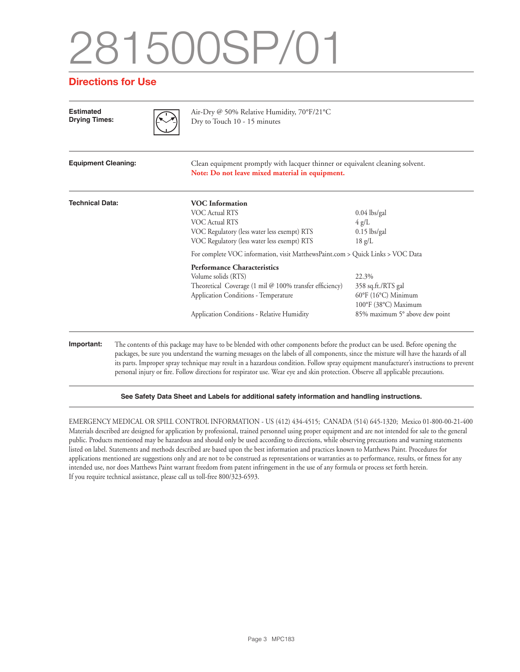# 281500SP/01

#### **Directions for Use**

| <b>Estimated</b><br><b>Drying Times:</b> |  | Air-Dry @ 50% Relative Humidity, 70°F/21°C<br>Dry to Touch 10 - 15 minutes                                                                                                                                                                                                                                                                                                                                                                                                                                                                          |                                                                                                                                   |  |  |
|------------------------------------------|--|-----------------------------------------------------------------------------------------------------------------------------------------------------------------------------------------------------------------------------------------------------------------------------------------------------------------------------------------------------------------------------------------------------------------------------------------------------------------------------------------------------------------------------------------------------|-----------------------------------------------------------------------------------------------------------------------------------|--|--|
| <b>Equipment Cleaning:</b>               |  | Clean equipment promptly with lacquer thinner or equivalent cleaning solvent.<br>Note: Do not leave mixed material in equipment.                                                                                                                                                                                                                                                                                                                                                                                                                    |                                                                                                                                   |  |  |
| <b>Technical Data:</b>                   |  | <b>VOC</b> Information<br><b>VOC Actual RTS</b><br><b>VOC Actual RTS</b><br>VOC Regulatory (less water less exempt) RTS<br>VOC Regulatory (less water less exempt) RTS                                                                                                                                                                                                                                                                                                                                                                              | $0.04$ lbs/gal<br>$4 \text{ g/L}$<br>$0.15$ lbs/gal<br>$18 \text{ g/L}$                                                           |  |  |
|                                          |  | For complete VOC information, visit MatthewsPaint.com > Quick Links > VOC Data                                                                                                                                                                                                                                                                                                                                                                                                                                                                      |                                                                                                                                   |  |  |
|                                          |  | <b>Performance Characteristics</b><br>Volume solids (RTS)<br>Theoretical Coverage (1 mil @ 100% transfer efficiency)<br>Application Conditions - Temperature<br>Application Conditions - Relative Humidity                                                                                                                                                                                                                                                                                                                                          | 22.3%<br>358 sq.ft./RTS gal<br>$60^{\circ}$ F (16 $^{\circ}$ C) Minimum<br>100°F (38°C) Maximum<br>85% maximum 5° above dew point |  |  |
| Important:                               |  | The contents of this package may have to be blended with other components before the product can be used. Before opening the<br>packages, be sure you understand the warning messages on the labels of all components, since the mixture will have the hazards of all<br>its parts. Improper spray technique may result in a hazardous condition. Follow spray equipment manufacturer's instructions to prevent<br>personal injury or fire. Follow directions for respirator use. Wear eye and skin protection. Observe all applicable precautions. |                                                                                                                                   |  |  |

#### **See Safety Data Sheet and Labels for additional safety information and handling instructions.**

EMERGENCY MEDICAL OR SPILL CONTROL INFORMATION - US (412) 434-4515; CANADA (514) 645-1320; Mexico 01-800-00-21-400 Materials described are designed for application by professional, trained personnel using proper equipment and are not intended for sale to the general public. Products mentioned may be hazardous and should only be used according to directions, while observing precautions and warning statements listed on label. Statements and methods described are based upon the best information and practices known to Matthews Paint. Procedures for applications mentioned are suggestions only and are not to be construed as representations or warranties as to performance, results, or fitness for any intended use, nor does Matthews Paint warrant freedom from patent infringement in the use of any formula or process set forth herein. If you require technical assistance, please call us toll-free 800/323-6593.